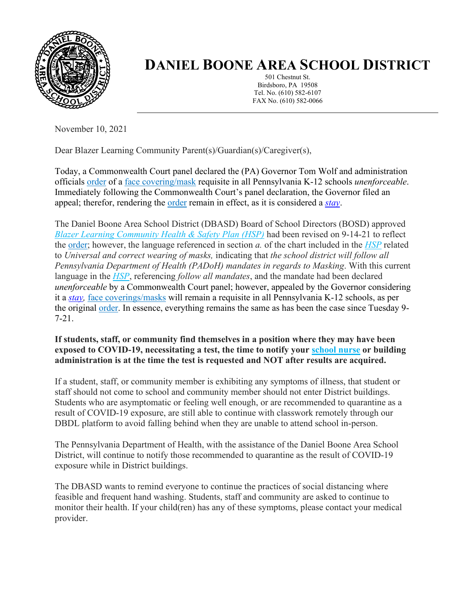

## **DANIEL BOONE AREA SCHOOL DISTRICT**

501 Chestnut St. Birdsboro, PA 19508 Tel. No. (610) 582-6107 FAX No. (610) 582-0066

November 10, 2021

Dear Blazer Learning Community Parent(s)/Guardian(s)/Caregiver(s),

Today, a Commonwealth Court panel declared the (PA) Governor Tom Wolf and administration officials [order](https://www.health.pa.gov/topics/Documents/Diseases%20and%20Conditions/Order%20of%20the%20Acting%20Secretary%20Directing%20Face%20Coverings%20in%20Schools.pdf) of a [face covering/mask](https://www.cdc.gov/coronavirus/2019-ncov/prevent-getting-sick/cloth-face-cover-guidance.html) requisite in all Pennsylvania K-12 schools *unenforceable*. Immediately following the Commonwealth Court's panel declaration, the Governor filed an appeal; therefor, rendering the [order](https://www.health.pa.gov/topics/Documents/Diseases%20and%20Conditions/Order%20of%20the%20Acting%20Secretary%20Directing%20Face%20Coverings%20in%20Schools.pdf) remain in effect, as it is considered a *[stay](https://www.law.cornell.edu/wex/stay_of_proceedings#:~:text=A%20ruling%20by%20a%20court,proceedings%20in%20the%20court%20below)*.

The Daniel Boone Area School District (DBASD) Board of School Directors (BOSD) approved *[Blazer Learning Community Health & Safety Plan \(HSP\)](https://www.dboone.org/Page/516)* had been revised on 9-14-21 to reflect the [order;](https://www.health.pa.gov/topics/Documents/Diseases%20and%20Conditions/Order%20of%20the%20Acting%20Secretary%20Directing%20Face%20Coverings%20in%20Schools.pdf) however, the language referenced in section *a.* of the chart included in the *[HSP](https://www.dboone.org/Page/516)* related to *Universal and correct wearing of masks,* indicating that *the school district will follow all Pennsylvania Department of Health (PADoH) mandates in regards to Masking*. With this current language in the *[HSP](https://www.dboone.org/Page/516)*, referencing *follow all mandates*, and the mandate had been declared *unenforceable* by a Commonwealth Court panel; however, appealed by the Governor considering it a *[stay,](https://www.law.cornell.edu/wex/stay_of_proceedings#:~:text=A%20ruling%20by%20a%20court,proceedings%20in%20the%20court%20below)* [face coverings/masks](https://www.cdc.gov/coronavirus/2019-ncov/prevent-getting-sick/cloth-face-cover-guidance.html) will remain a requisite in all Pennsylvania K-12 schools, as per the original [order.](https://www.health.pa.gov/topics/Documents/Diseases%20and%20Conditions/Order%20of%20the%20Acting%20Secretary%20Directing%20Face%20Coverings%20in%20Schools.pdf) In essence, everything remains the same as has been the case since Tuesday 9- 7-21.

**If students, staff, or community find themselves in a position where they may have been exposed to COVID-19, necessitating a test, the time to notify your [school nurse](https://www.dboone.org/Page/484) or building administration is at the time the test is requested and NOT after results are acquired.**

If a student, staff, or community member is exhibiting any symptoms of illness, that student or staff should not come to school and community member should not enter District buildings. Students who are asymptomatic or feeling well enough, or are recommended to quarantine as a result of COVID-19 exposure, are still able to continue with classwork remotely through our DBDL platform to avoid falling behind when they are unable to attend school in-person.

The Pennsylvania Department of Health, with the assistance of the Daniel Boone Area School District, will continue to notify those recommended to quarantine as the result of COVID-19 exposure while in District buildings.

The DBASD wants to remind everyone to continue the practices of social distancing where feasible and frequent hand washing. Students, staff and community are asked to continue to monitor their health. If your child(ren) has any of these symptoms, please contact your medical provider.